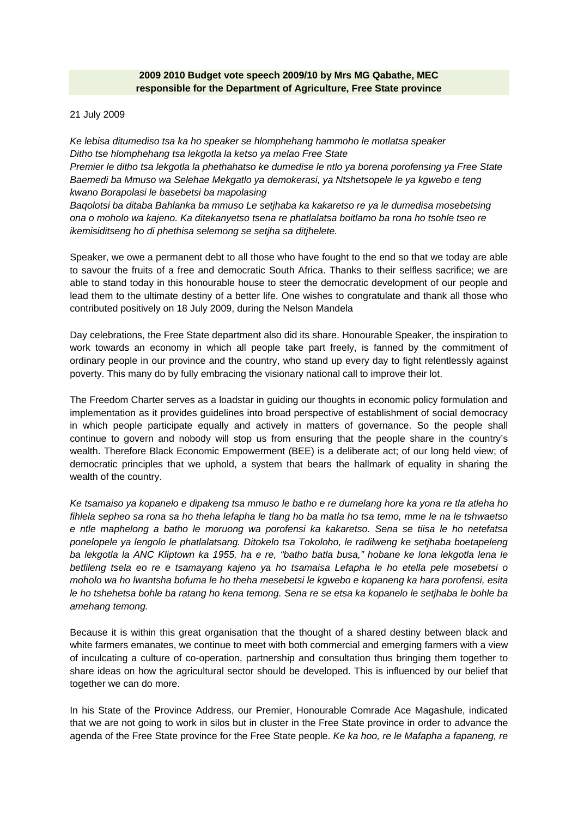# **2009 2010 Budget vote speech 2009/10 by Mrs MG Qabathe, MEC responsible for the Department of Agriculture, Free State province**

21 July 2009

*Ke lebisa ditumediso tsa ka ho speaker se hlomphehang hammoho le motlatsa speaker Ditho tse hlomphehang tsa lekgotla la ketso ya melao Free State Premier le ditho tsa lekgotla la phethahatso ke dumedise le ntlo ya borena porofensing ya Free State Baemedi ba Mmuso wa Selehae Mekgatlo ya demokerasi, ya Ntshetsopele le ya kgwebo e teng kwano Borapolasi le basebetsi ba mapolasing Baqolotsi ba ditaba Bahlanka ba mmuso Le setjhaba ka kakaretso re ya le dumedisa mosebetsing* 

*ona o moholo wa kajeno. Ka ditekanyetso tsena re phatlalatsa boitlamo ba rona ho tsohle tseo re ikemisiditseng ho di phethisa selemong se setjha sa ditjhelete.* 

Speaker, we owe a permanent debt to all those who have fought to the end so that we today are able to savour the fruits of a free and democratic South Africa. Thanks to their selfless sacrifice; we are able to stand today in this honourable house to steer the democratic development of our people and lead them to the ultimate destiny of a better life. One wishes to congratulate and thank all those who contributed positively on 18 July 2009, during the Nelson Mandela

Day celebrations, the Free State department also did its share. Honourable Speaker, the inspiration to work towards an economy in which all people take part freely, is fanned by the commitment of ordinary people in our province and the country, who stand up every day to fight relentlessly against poverty. This many do by fully embracing the visionary national call to improve their lot.

The Freedom Charter serves as a loadstar in guiding our thoughts in economic policy formulation and implementation as it provides guidelines into broad perspective of establishment of social democracy in which people participate equally and actively in matters of governance. So the people shall continue to govern and nobody will stop us from ensuring that the people share in the country's wealth. Therefore Black Economic Empowerment (BEE) is a deliberate act; of our long held view; of democratic principles that we uphold, a system that bears the hallmark of equality in sharing the wealth of the country.

*Ke tsamaiso ya kopanelo e dipakeng tsa mmuso le batho e re dumelang hore ka yona re tla atleha ho fihlela sepheo sa rona sa ho theha lefapha le tlang ho ba matla ho tsa temo, mme le na le tshwaetso e ntle maphelong a batho le moruong wa porofensi ka kakaretso. Sena se tiisa le ho netefatsa ponelopele ya lengolo le phatlalatsang. Ditokelo tsa Tokoloho, le radilweng ke setjhaba boetapeleng ba lekgotla la ANC Kliptown ka 1955, ha e re, "batho batla busa," hobane ke lona lekgotla lena le betlileng tsela eo re e tsamayang kajeno ya ho tsamaisa Lefapha le ho etella pele mosebetsi o moholo wa ho lwantsha bofuma le ho theha mesebetsi le kgwebo e kopaneng ka hara porofensi, esita le ho tshehetsa bohle ba ratang ho kena temong. Sena re se etsa ka kopanelo le setjhaba le bohle ba amehang temong.* 

Because it is within this great organisation that the thought of a shared destiny between black and white farmers emanates, we continue to meet with both commercial and emerging farmers with a view of inculcating a culture of co-operation, partnership and consultation thus bringing them together to share ideas on how the agricultural sector should be developed. This is influenced by our belief that together we can do more.

In his State of the Province Address, our Premier, Honourable Comrade Ace Magashule, indicated that we are not going to work in silos but in cluster in the Free State province in order to advance the agenda of the Free State province for the Free State people. *Ke ka hoo, re le Mafapha a fapaneng, re*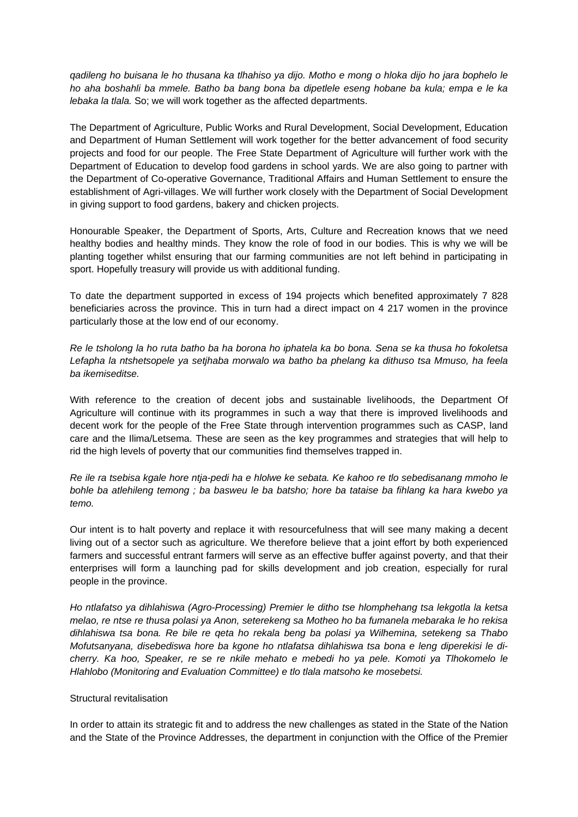*qadileng ho buisana le ho thusana ka tlhahiso ya dijo. Motho e mong o hloka dijo ho jara bophelo le ho aha boshahli ba mmele. Batho ba bang bona ba dipetlele eseng hobane ba kula; empa e le ka lebaka la tlala.* So; we will work together as the affected departments.

The Department of Agriculture, Public Works and Rural Development, Social Development, Education and Department of Human Settlement will work together for the better advancement of food security projects and food for our people. The Free State Department of Agriculture will further work with the Department of Education to develop food gardens in school yards. We are also going to partner with the Department of Co-operative Governance, Traditional Affairs and Human Settlement to ensure the establishment of Agri-villages. We will further work closely with the Department of Social Development in giving support to food gardens, bakery and chicken projects.

Honourable Speaker, the Department of Sports, Arts, Culture and Recreation knows that we need healthy bodies and healthy minds. They know the role of food in our bodies. This is why we will be planting together whilst ensuring that our farming communities are not left behind in participating in sport. Hopefully treasury will provide us with additional funding.

To date the department supported in excess of 194 projects which benefited approximately 7 828 beneficiaries across the province. This in turn had a direct impact on 4 217 women in the province particularly those at the low end of our economy.

*Re le tsholong la ho ruta batho ba ha borona ho iphatela ka bo bona. Sena se ka thusa ho fokoletsa Lefapha la ntshetsopele ya setjhaba morwalo wa batho ba phelang ka dithuso tsa Mmuso, ha feela ba ikemiseditse.* 

With reference to the creation of decent jobs and sustainable livelihoods, the Department Of Agriculture will continue with its programmes in such a way that there is improved livelihoods and decent work for the people of the Free State through intervention programmes such as CASP, land care and the Ilima/Letsema. These are seen as the key programmes and strategies that will help to rid the high levels of poverty that our communities find themselves trapped in.

*Re ile ra tsebisa kgale hore ntja-pedi ha e hlolwe ke sebata. Ke kahoo re tlo sebedisanang mmoho le bohle ba atlehileng temong ; ba basweu le ba batsho; hore ba tataise ba fihlang ka hara kwebo ya temo.* 

Our intent is to halt poverty and replace it with resourcefulness that will see many making a decent living out of a sector such as agriculture. We therefore believe that a joint effort by both experienced farmers and successful entrant farmers will serve as an effective buffer against poverty, and that their enterprises will form a launching pad for skills development and job creation, especially for rural people in the province.

*Ho ntlafatso ya dihlahiswa (Agro-Processing) Premier le ditho tse hlomphehang tsa lekgotla la ketsa melao, re ntse re thusa polasi ya Anon, seterekeng sa Motheo ho ba fumanela mebaraka le ho rekisa dihlahiswa tsa bona. Re bile re qeta ho rekala beng ba polasi ya Wilhemina, setekeng sa Thabo Mofutsanyana, disebediswa hore ba kgone ho ntlafatsa dihlahiswa tsa bona e leng diperekisi le dicherry. Ka hoo, Speaker, re se re nkile mehato e mebedi ho ya pele. Komoti ya Tlhokomelo le Hlahlobo (Monitoring and Evaluation Committee) e tlo tlala matsoho ke mosebetsi.* 

## Structural revitalisation

In order to attain its strategic fit and to address the new challenges as stated in the State of the Nation and the State of the Province Addresses, the department in conjunction with the Office of the Premier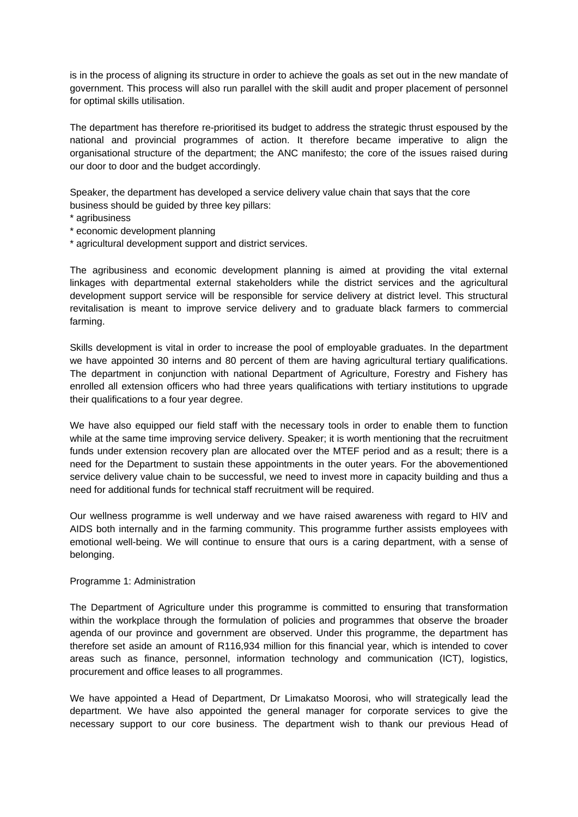is in the process of aligning its structure in order to achieve the goals as set out in the new mandate of government. This process will also run parallel with the skill audit and proper placement of personnel for optimal skills utilisation.

The department has therefore re-prioritised its budget to address the strategic thrust espoused by the national and provincial programmes of action. It therefore became imperative to align the organisational structure of the department; the ANC manifesto; the core of the issues raised during our door to door and the budget accordingly.

Speaker, the department has developed a service delivery value chain that says that the core business should be guided by three key pillars:

- \* agribusiness
- \* economic development planning
- \* agricultural development support and district services.

The agribusiness and economic development planning is aimed at providing the vital external linkages with departmental external stakeholders while the district services and the agricultural development support service will be responsible for service delivery at district level. This structural revitalisation is meant to improve service delivery and to graduate black farmers to commercial farming.

Skills development is vital in order to increase the pool of employable graduates. In the department we have appointed 30 interns and 80 percent of them are having agricultural tertiary qualifications. The department in conjunction with national Department of Agriculture, Forestry and Fishery has enrolled all extension officers who had three years qualifications with tertiary institutions to upgrade their qualifications to a four year degree.

We have also equipped our field staff with the necessary tools in order to enable them to function while at the same time improving service delivery. Speaker; it is worth mentioning that the recruitment funds under extension recovery plan are allocated over the MTEF period and as a result; there is a need for the Department to sustain these appointments in the outer years. For the abovementioned service delivery value chain to be successful, we need to invest more in capacity building and thus a need for additional funds for technical staff recruitment will be required.

Our wellness programme is well underway and we have raised awareness with regard to HIV and AIDS both internally and in the farming community. This programme further assists employees with emotional well-being. We will continue to ensure that ours is a caring department, with a sense of belonging.

#### Programme 1: Administration

The Department of Agriculture under this programme is committed to ensuring that transformation within the workplace through the formulation of policies and programmes that observe the broader agenda of our province and government are observed. Under this programme, the department has therefore set aside an amount of R116,934 million for this financial year, which is intended to cover areas such as finance, personnel, information technology and communication (ICT), logistics, procurement and office leases to all programmes.

We have appointed a Head of Department, Dr Limakatso Moorosi, who will strategically lead the department. We have also appointed the general manager for corporate services to give the necessary support to our core business. The department wish to thank our previous Head of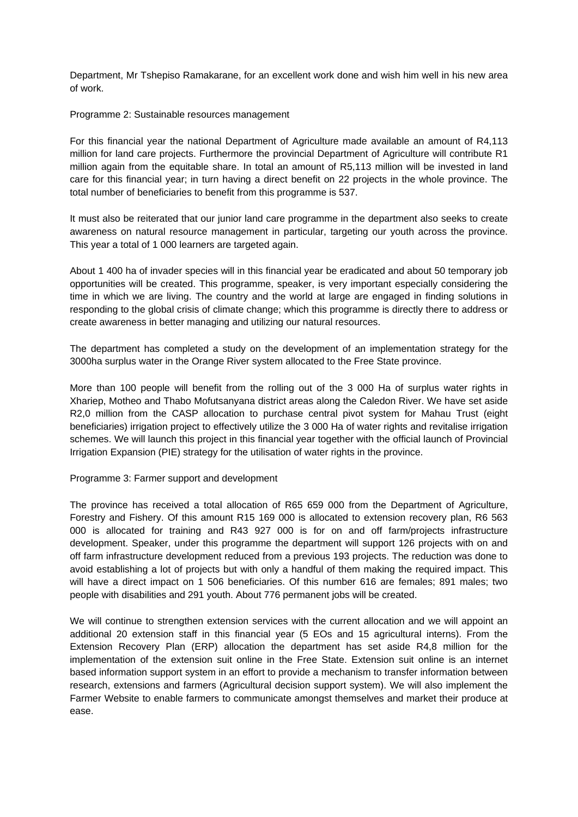Department, Mr Tshepiso Ramakarane, for an excellent work done and wish him well in his new area of work.

Programme 2: Sustainable resources management

For this financial year the national Department of Agriculture made available an amount of R4,113 million for land care projects. Furthermore the provincial Department of Agriculture will contribute R1 million again from the equitable share. In total an amount of R5,113 million will be invested in land care for this financial year; in turn having a direct benefit on 22 projects in the whole province. The total number of beneficiaries to benefit from this programme is 537.

It must also be reiterated that our junior land care programme in the department also seeks to create awareness on natural resource management in particular, targeting our youth across the province. This year a total of 1 000 learners are targeted again.

About 1 400 ha of invader species will in this financial year be eradicated and about 50 temporary job opportunities will be created. This programme, speaker, is very important especially considering the time in which we are living. The country and the world at large are engaged in finding solutions in responding to the global crisis of climate change; which this programme is directly there to address or create awareness in better managing and utilizing our natural resources.

The department has completed a study on the development of an implementation strategy for the 3000ha surplus water in the Orange River system allocated to the Free State province.

More than 100 people will benefit from the rolling out of the 3 000 Ha of surplus water rights in Xhariep, Motheo and Thabo Mofutsanyana district areas along the Caledon River. We have set aside R2,0 million from the CASP allocation to purchase central pivot system for Mahau Trust (eight beneficiaries) irrigation project to effectively utilize the 3 000 Ha of water rights and revitalise irrigation schemes. We will launch this project in this financial year together with the official launch of Provincial Irrigation Expansion (PIE) strategy for the utilisation of water rights in the province.

#### Programme 3: Farmer support and development

The province has received a total allocation of R65 659 000 from the Department of Agriculture, Forestry and Fishery. Of this amount R15 169 000 is allocated to extension recovery plan, R6 563 000 is allocated for training and R43 927 000 is for on and off farm/projects infrastructure development. Speaker, under this programme the department will support 126 projects with on and off farm infrastructure development reduced from a previous 193 projects. The reduction was done to avoid establishing a lot of projects but with only a handful of them making the required impact. This will have a direct impact on 1 506 beneficiaries. Of this number 616 are females; 891 males; two people with disabilities and 291 youth. About 776 permanent jobs will be created.

We will continue to strengthen extension services with the current allocation and we will appoint an additional 20 extension staff in this financial year (5 EOs and 15 agricultural interns). From the Extension Recovery Plan (ERP) allocation the department has set aside R4,8 million for the implementation of the extension suit online in the Free State. Extension suit online is an internet based information support system in an effort to provide a mechanism to transfer information between research, extensions and farmers (Agricultural decision support system). We will also implement the Farmer Website to enable farmers to communicate amongst themselves and market their produce at ease.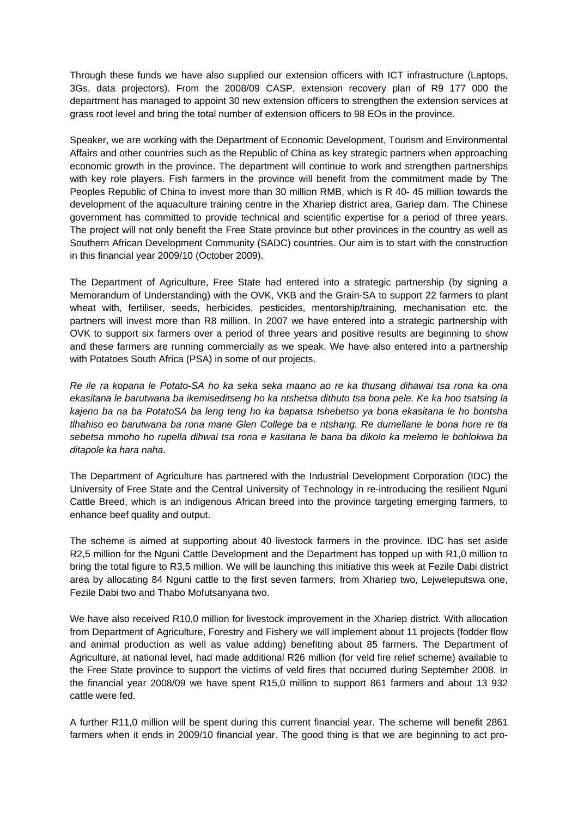Through these funds we have also supplied our extension officers with ICT infrastructure (Laptops, 3Gs, data projectors). From the 2008/09 CASP, extension recovery plan of R9 177 000 the department has managed to appoint 30 new extension officers to strengthen the extension services at grass root level and bring the total number of extension officers to 98 EOs in the province.

Speaker, we are working with the Department of Economic Development, Tourism and Environmental Affairs and other countries such as the Republic of China as key strategic partners when approaching economic growth in the province. The department will continue to work and strengthen partnerships with key role players. Fish farmers in the province will benefit from the commitment made by The Peoples Republic of China to invest more than 30 million RMB, which is R 40- 45 million towards the development of the aquaculture training centre in the Xhariep district area, Gariep dam. The Chinese government has committed to provide technical and scientific expertise for a period of three years. The project will not only benefit the Free State province but other provinces in the country as well as Southern African Development Community (SADC) countries. Our aim is to start with the construction in this financial year 2009/10 (October 2009).

The Department of Agriculture, Free State had entered into a strategic partnership (by signing a Memorandum of Understanding) with the OVK, VKB and the Grain-SA to support 22 farmers to plant wheat with, fertiliser, seeds, herbicides, pesticides, mentorship/training, mechanisation etc. the partners will invest more than R8 million. In 2007 we have entered into a strategic partnership with OVK to support six farmers over a period of three years and positive results are beginning to show and these farmers are running commercially as we speak. We have also entered into a partnership with Potatoes South Africa (PSA) in some of our projects.

*Re ile ra kopana le Potato-SA ho ka seka seka maano ao re ka thusang dihawai tsa rona ka ona ekasitana le barutwana ba ikemiseditseng ho ka ntshetsa dithuto tsa bona pele. Ke ka hoo tsatsing la kajeno ba na ba PotatoSA ba leng teng ho ka bapatsa tshebetso ya bona ekasitana le ho bontsha tlhahiso eo barutwana ba rona mane Glen College ba e ntshang. Re dumellane le bona hore re tla sebetsa mmoho ho rupella dihwai tsa rona e kasitana le bana ba dikolo ka melemo le bohlokwa ba ditapole ka hara naha.* 

The Department of Agriculture has partnered with the Industrial Development Corporation (IDC) the University of Free State and the Central University of Technology in re-introducing the resilient Nguni Cattle Breed, which is an indigenous African breed into the province targeting emerging farmers, to enhance beef quality and output.

The scheme is aimed at supporting about 40 livestock farmers in the province. IDC has set aside R2,5 million for the Nguni Cattle Development and the Department has topped up with R1,0 million to bring the total figure to R3,5 million. We will be launching this initiative this week at Fezile Dabi district area by allocating 84 Nguni cattle to the first seven farmers; from Xhariep two, Leiweleputswa one, Fezile Dabi two and Thabo Mofutsanyana two.

We have also received R10,0 million for livestock improvement in the Xhariep district. With allocation from Department of Agriculture, Forestry and Fishery we will implement about 11 projects (fodder flow and animal production as well as value adding) benefiting about 85 farmers. The Department of Agriculture, at national level, had made additional R26 million (for veld fire relief scheme) available to the Free State province to support the victims of veld fires that occurred during September 2008. In the financial year 2008/09 we have spent R15,0 million to support 861 farmers and about 13 932 cattle were fed.

A further R11,0 million will be spent during this current financial year. The scheme will benefit 2861 farmers when it ends in 2009/10 financial year. The good thing is that we are beginning to act pro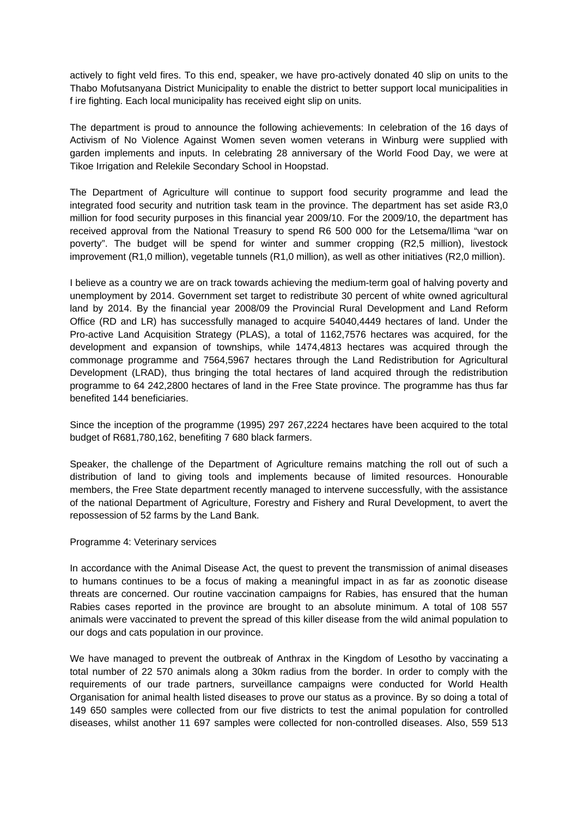actively to fight veld fires. To this end, speaker, we have pro-actively donated 40 slip on units to the Thabo Mofutsanyana District Municipality to enable the district to better support local municipalities in f ire fighting. Each local municipality has received eight slip on units.

The department is proud to announce the following achievements: In celebration of the 16 days of Activism of No Violence Against Women seven women veterans in Winburg were supplied with garden implements and inputs. In celebrating 28 anniversary of the World Food Day, we were at Tikoe Irrigation and Relekile Secondary School in Hoopstad.

The Department of Agriculture will continue to support food security programme and lead the integrated food security and nutrition task team in the province. The department has set aside R3,0 million for food security purposes in this financial year 2009/10. For the 2009/10, the department has received approval from the National Treasury to spend R6 500 000 for the Letsema/Ilima "war on poverty". The budget will be spend for winter and summer cropping (R2,5 million), livestock improvement (R1,0 million), vegetable tunnels (R1,0 million), as well as other initiatives (R2,0 million).

I believe as a country we are on track towards achieving the medium-term goal of halving poverty and unemployment by 2014. Government set target to redistribute 30 percent of white owned agricultural land by 2014. By the financial year 2008/09 the Provincial Rural Development and Land Reform Office (RD and LR) has successfully managed to acquire 54040,4449 hectares of land. Under the Pro-active Land Acquisition Strategy (PLAS), a total of 1162,7576 hectares was acquired, for the development and expansion of townships, while 1474,4813 hectares was acquired through the commonage programme and 7564,5967 hectares through the Land Redistribution for Agricultural Development (LRAD), thus bringing the total hectares of land acquired through the redistribution programme to 64 242,2800 hectares of land in the Free State province. The programme has thus far benefited 144 beneficiaries.

Since the inception of the programme (1995) 297 267,2224 hectares have been acquired to the total budget of R681,780,162, benefiting 7 680 black farmers.

Speaker, the challenge of the Department of Agriculture remains matching the roll out of such a distribution of land to giving tools and implements because of limited resources. Honourable members, the Free State department recently managed to intervene successfully, with the assistance of the national Department of Agriculture, Forestry and Fishery and Rural Development, to avert the repossession of 52 farms by the Land Bank.

#### Programme 4: Veterinary services

In accordance with the Animal Disease Act, the quest to prevent the transmission of animal diseases to humans continues to be a focus of making a meaningful impact in as far as zoonotic disease threats are concerned. Our routine vaccination campaigns for Rabies, has ensured that the human Rabies cases reported in the province are brought to an absolute minimum. A total of 108 557 animals were vaccinated to prevent the spread of this killer disease from the wild animal population to our dogs and cats population in our province.

We have managed to prevent the outbreak of Anthrax in the Kingdom of Lesotho by vaccinating a total number of 22 570 animals along a 30km radius from the border. In order to comply with the requirements of our trade partners, surveillance campaigns were conducted for World Health Organisation for animal health listed diseases to prove our status as a province. By so doing a total of 149 650 samples were collected from our five districts to test the animal population for controlled diseases, whilst another 11 697 samples were collected for non-controlled diseases. Also, 559 513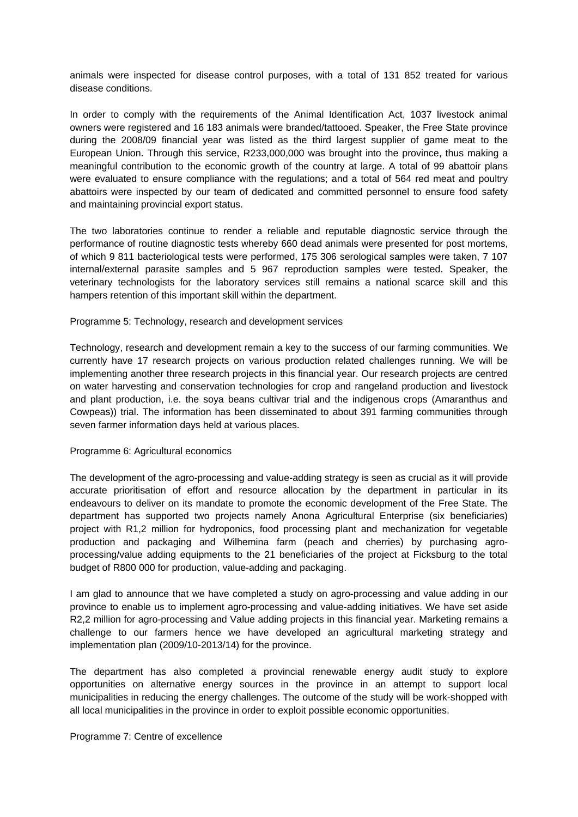animals were inspected for disease control purposes, with a total of 131 852 treated for various disease conditions.

In order to comply with the requirements of the Animal Identification Act, 1037 livestock animal owners were registered and 16 183 animals were branded/tattooed. Speaker, the Free State province during the 2008/09 financial year was listed as the third largest supplier of game meat to the European Union. Through this service, R233,000,000 was brought into the province, thus making a meaningful contribution to the economic growth of the country at large. A total of 99 abattoir plans were evaluated to ensure compliance with the regulations; and a total of 564 red meat and poultry abattoirs were inspected by our team of dedicated and committed personnel to ensure food safety and maintaining provincial export status.

The two laboratories continue to render a reliable and reputable diagnostic service through the performance of routine diagnostic tests whereby 660 dead animals were presented for post mortems, of which 9 811 bacteriological tests were performed, 175 306 serological samples were taken, 7 107 internal/external parasite samples and 5 967 reproduction samples were tested. Speaker, the veterinary technologists for the laboratory services still remains a national scarce skill and this hampers retention of this important skill within the department.

## Programme 5: Technology, research and development services

Technology, research and development remain a key to the success of our farming communities. We currently have 17 research projects on various production related challenges running. We will be implementing another three research projects in this financial year. Our research projects are centred on water harvesting and conservation technologies for crop and rangeland production and livestock and plant production, i.e. the soya beans cultivar trial and the indigenous crops (Amaranthus and Cowpeas)) trial. The information has been disseminated to about 391 farming communities through seven farmer information days held at various places.

#### Programme 6: Agricultural economics

The development of the agro-processing and value-adding strategy is seen as crucial as it will provide accurate prioritisation of effort and resource allocation by the department in particular in its endeavours to deliver on its mandate to promote the economic development of the Free State. The department has supported two projects namely Anona Agricultural Enterprise (six beneficiaries) project with R1,2 million for hydroponics, food processing plant and mechanization for vegetable production and packaging and Wilhemina farm (peach and cherries) by purchasing agroprocessing/value adding equipments to the 21 beneficiaries of the project at Ficksburg to the total budget of R800 000 for production, value-adding and packaging.

I am glad to announce that we have completed a study on agro-processing and value adding in our province to enable us to implement agro-processing and value-adding initiatives. We have set aside R2,2 million for agro-processing and Value adding projects in this financial year. Marketing remains a challenge to our farmers hence we have developed an agricultural marketing strategy and implementation plan (2009/10-2013/14) for the province.

The department has also completed a provincial renewable energy audit study to explore opportunities on alternative energy sources in the province in an attempt to support local municipalities in reducing the energy challenges. The outcome of the study will be work-shopped with all local municipalities in the province in order to exploit possible economic opportunities.

#### Programme 7: Centre of excellence